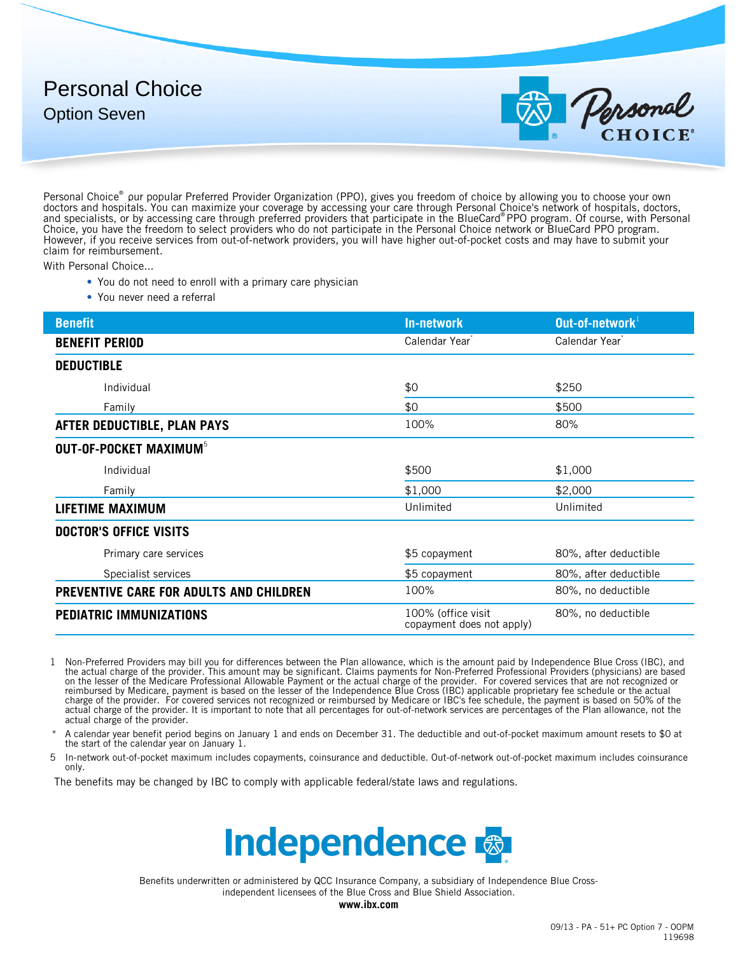

Personal Choice® pur popular Preferred Provider Organization (PPO), gives you freedom of choice by allowing you to choose your own doctors and hospitals. You can maximize your coverage by accessing your care through Personal Choice's network of hospitals, doctors, and specialists, or by accessing care through preferred providers that participate in the BlueCard® PPO program. Of course, with Personal Choice, you have the freedom to select providers who do not participate in the Personal Choice network or BlueCard PPO program. However, if you receive services from out-of-network providers, you will have higher out-of-pocket costs and may have to submit your claim for reimbursement.

With Personal Choice...

- You do not need to enroll with a primary care physician
- You never need a referral

| <b>Benefit</b>                           | In-network                                      | Out-of-network $1$         |
|------------------------------------------|-------------------------------------------------|----------------------------|
| <b>BENEFIT PERIOD</b>                    | Calendar Year <sup>*</sup>                      | Calendar Year <sup>®</sup> |
| <b>DEDUCTIBLE</b>                        |                                                 |                            |
| Individual                               | \$0                                             | \$250                      |
| Family                                   | \$0                                             | \$500                      |
| AFTER DEDUCTIBLE, PLAN PAYS              | 100%                                            | 80%                        |
| <b>OUT-OF-POCKET MAXIMUM<sup>5</sup></b> |                                                 |                            |
| Individual                               | \$500                                           | \$1,000                    |
| Family                                   | \$1,000                                         | \$2,000                    |
| LIFETIME MAXIMUM                         | Unlimited                                       | Unlimited                  |
| <b>DOCTOR'S OFFICE VISITS</b>            |                                                 |                            |
| Primary care services                    | \$5 copayment                                   | 80%, after deductible      |
| Specialist services                      | \$5 copayment                                   | 80%, after deductible      |
| PREVENTIVE CARE FOR ADULTS AND CHILDREN  | 100%                                            | 80%, no deductible         |
| <b>PEDIATRIC IMMUNIZATIONS</b>           | 100% (office visit<br>copayment does not apply) | 80%, no deductible         |

1 Non-Preferred Providers may bill you for differences between the Plan allowance, which is the amount paid by Independence Blue Cross (IBC), and the actual charge of the provider. This amount may be significant. Claims payments for Non-Preferred Professional Providers (physicians) are based on the lesser of the Medicare Professional Allowable Payment or the actual charge of the provider. For covered services that are not recognized or reimbursed by Medicare, payment is based on the lesser of the Independence Blue Cross (IBC) applicable proprietary fee schedule or the actual charge of the provider. For covered services not recognized or reimbursed by Medicare or IBC's fee schedule, the payment is based on 50% of the actual charge of the provider. It is important to note that all percentages for out-of-network services are percentages of the Plan allowance, not the actual charge of the provider.

A calendar year benefit period begins on January 1 and ends on December 31. The deductible and out-of-pocket maximum amount resets to \$0 at the start of the calendar year on January 1.

5 In-network out-of-pocket maximum includes copayments, coinsurance and deductible. Out-of-network out-of-pocket maximum includes coinsurance only.

The benefits may be changed by IBC to comply with applicable federal/state laws and regulations.



independent licensees of the Blue Cross and Blue Shield Association. Benefits underwritten or administered by QCC Insurance Company, a subsidiary of Independence Blue Cross-

**www.ibx.com**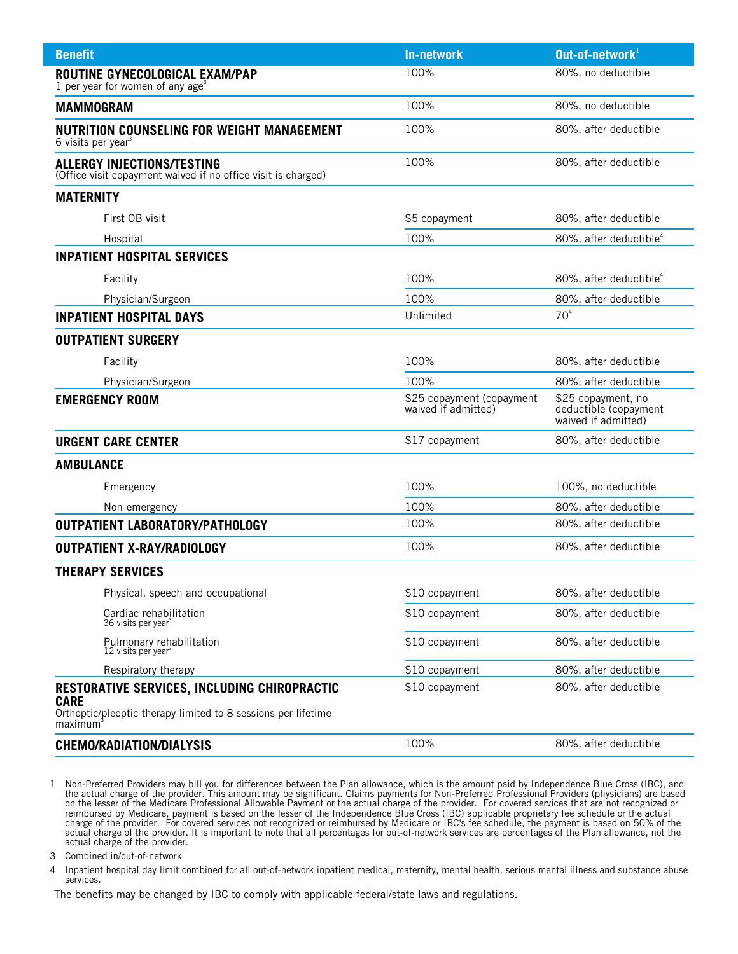| <b>Benefit</b>                                                                                                                                 | <b>In-network</b>                                | Out-of-network $^1$                                                |
|------------------------------------------------------------------------------------------------------------------------------------------------|--------------------------------------------------|--------------------------------------------------------------------|
| ROUTINE GYNECOLOGICAL EXAM/PAP<br>1 per year for women of any age <sup>3</sup>                                                                 | 100%                                             | 80%, no deductible                                                 |
| <b>MAMMOGRAM</b>                                                                                                                               | 100%                                             | 80%, no deductible                                                 |
| NUTRITION COUNSELING FOR WEIGHT MANAGEMENT<br>6 visits per year <sup>3</sup>                                                                   | 100%                                             | 80%, after deductible                                              |
| <b>ALLERGY INJECTIONS/TESTING</b><br>(Office visit copayment waived if no office visit is charged)                                             | 100%                                             | 80%, after deductible                                              |
| <b>MATERNITY</b>                                                                                                                               |                                                  |                                                                    |
| First OB visit                                                                                                                                 | \$5 copayment                                    | 80%, after deductible                                              |
| Hospital                                                                                                                                       | 100%                                             | 80%, after deductible <sup>4</sup>                                 |
| <b>INPATIENT HOSPITAL SERVICES</b>                                                                                                             |                                                  |                                                                    |
| Facility                                                                                                                                       | 100%                                             | 80%, after deductible <sup>4</sup>                                 |
| Physician/Surgeon                                                                                                                              | 100%                                             | 80%, after deductible                                              |
| <b>INPATIENT HOSPITAL DAYS</b>                                                                                                                 | Unlimited                                        | 70 <sup>4</sup>                                                    |
| <b>OUTPATIENT SURGERY</b>                                                                                                                      |                                                  |                                                                    |
| Facility                                                                                                                                       | 100%                                             | 80%, after deductible                                              |
| Physician/Surgeon                                                                                                                              | 100%                                             | 80%, after deductible                                              |
| <b>EMERGENCY ROOM</b>                                                                                                                          | \$25 copayment (copayment<br>waived if admitted) | \$25 copayment, no<br>deductible (copayment<br>waived if admitted) |
| <b>URGENT CARE CENTER</b>                                                                                                                      | \$17 copayment                                   | 80%, after deductible                                              |
| <b>AMBULANCE</b>                                                                                                                               |                                                  |                                                                    |
| Emergency                                                                                                                                      | 100%                                             | 100%, no deductible                                                |
| Non-emergency                                                                                                                                  | 100%                                             | 80%, after deductible                                              |
| <b>OUTPATIENT LABORATORY/PATHOLOGY</b>                                                                                                         | 100%                                             | 80%, after deductible                                              |
| <b>OUTPATIENT X-RAY/RADIOLOGY</b>                                                                                                              | 100%                                             | 80%, after deductible                                              |
| <b>THERAPY SERVICES</b>                                                                                                                        |                                                  |                                                                    |
| Physical, speech and occupational                                                                                                              | \$10 copayment                                   | 80%, after deductible                                              |
| Cardiac rehabilitation<br>36 visits per year <sup>3</sup>                                                                                      | \$10 copayment                                   | 80%, after deductible                                              |
| Pulmonary rehabilitation<br>12 visits per year <sup>3</sup>                                                                                    | \$10 copayment                                   | 80%, after deductible                                              |
| Respiratory therapy                                                                                                                            | \$10 copayment                                   | 80%, after deductible                                              |
| <b>RESTORATIVE SERVICES, INCLUDING CHIROPRACTIC</b><br><b>CARE</b><br>Orthoptic/pleoptic therapy limited to 8 sessions per lifetime<br>maximum | \$10 copayment                                   | 80%, after deductible                                              |
| <b>CHEMO/RADIATION/DIALYSIS</b>                                                                                                                | 100%                                             | 80%, after deductible                                              |

1 Non-Preferred Providers may bill you for differences between the Plan allowance, which is the amount paid by Independence Blue Cross (IBC), and the actual charge of the provider. This amount may be significant. Claims payments for Non-Preferred Professional Providers (physicians) are based on the lesser of the Medicare Professional Allowable Payment or the actual charge of the provider. For covered services that are not recognized or reimbursed by Medicare, payment is based on the lesser of the Independence Blue Cross (IBC) applicable proprietary fee schedule or the actual charge of the provider. For covered services not recognized or reimbursed by Medicare or IBC's fee schedule, the payment is based on 50% of the actual charge of the provider. It is important to note that all percentages for out-of-network services are percentages of the Plan allowance, not the actual charge of the provider.

3 Combined in/out-of-network

4 Inpatient hospital day limit combined for all out-of-network inpatient medical, maternity, mental health, serious mental illness and substance abuse services.

The benefits may be changed by IBC to comply with applicable federal/state laws and regulations.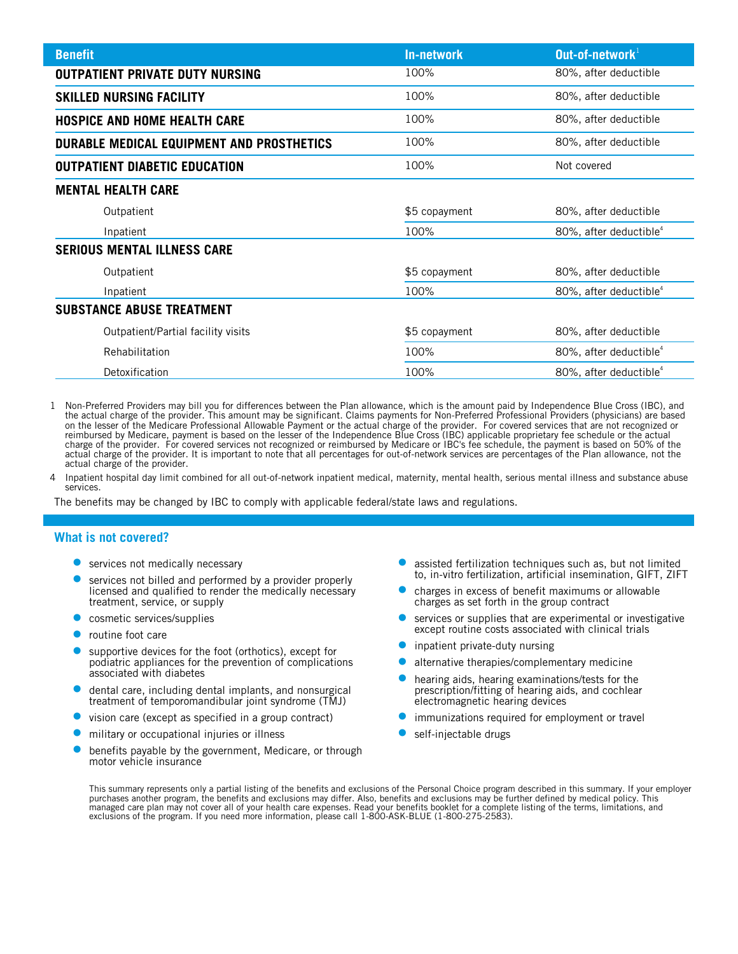| <b>Benefit</b>                            | <b>In-network</b> | Out-of-network $^1$                |
|-------------------------------------------|-------------------|------------------------------------|
| <b>OUTPATIENT PRIVATE DUTY NURSING</b>    | 100%              | 80%, after deductible              |
| <b>SKILLED NURSING FACILITY</b>           | 100%              | 80%, after deductible              |
| <b>HOSPICE AND HOME HEALTH CARE</b>       | 100%              | 80%, after deductible              |
| DURABLE MEDICAL EQUIPMENT AND PROSTHETICS | 100%              | 80%, after deductible              |
| <b>OUTPATIENT DIABETIC EDUCATION</b>      | 100%              | Not covered                        |
| <b>MENTAL HEALTH CARE</b>                 |                   |                                    |
| Outpatient                                | \$5 copayment     | 80%, after deductible              |
| Inpatient                                 | 100%              | 80%, after deductible <sup>4</sup> |
| <b>SERIOUS MENTAL ILLNESS CARE</b>        |                   |                                    |
| Outpatient                                | \$5 copayment     | 80%, after deductible              |
| Inpatient                                 | 100%              | 80%, after deductible <sup>4</sup> |
| <b>SUBSTANCE ABUSE TREATMENT</b>          |                   |                                    |
| Outpatient/Partial facility visits        | \$5 copayment     | 80%, after deductible              |
| Rehabilitation                            | 100%              | 80%, after deductible <sup>4</sup> |
| Detoxification                            | 100%              | 80%, after deductible <sup>4</sup> |

1 Non-Preferred Providers may bill you for differences between the Plan allowance, which is the amount paid by Independence Blue Cross (IBC), and the actual charge of the provider. This amount may be significant. Claims payments for Non-Preferred Professional Providers (physicians) are based on the lesser of the Medicare Professional Allowable Payment or the actual charge of the provider. For covered services that are not recognized or reimbursed by Medicare, payment is based on the lesser of the Independence Blue Cross (IBC) applicable proprietary fee schedule or the actual charge of the provider. For covered services not recognized or reimbursed by Medicare or IBC's fee schedule, the payment is based on 50% of the actual charge of the provider. It is important to note that all percentages for out-of-network services are percentages of the Plan allowance, not the actual charge of the provider.

4 Inpatient hospital day limit combined for all out-of-network inpatient medical, maternity, mental health, serious mental illness and substance abuse services.

The benefits may be changed by IBC to comply with applicable federal/state laws and regulations.

## **What is not covered?**

- services not medically necessary
- services not billed and performed by a provider properly licensed and qualified to render the medically necessary treatment, service, or supply
- cosmetic services/supplies
- routine foot care
- supportive devices for the foot (orthotics), except for podiatric appliances for the prevention of complications associated with diabetes
- dental care, including dental implants, and nonsurgical treatment of temporomandibular joint syndrome (TMJ)
- vision care (except as specified in a group contract)
- military or occupational injuries or illness
- benefits payable by the government, Medicare, or through motor vehicle insurance
- assisted fertilization techniques such as, but not limited to, in-vitro fertilization, artificial insemination, GIFT, ZIFT
- charges in excess of benefit maximums or allowable charges as set forth in the group contract
- services or supplies that are experimental or investigative except routine costs associated with clinical trials
- inpatient private-duty nursing
- alternative therapies/complementary medicine
- hearing aids, hearing examinations/tests for the prescription/fitting of hearing aids, and cochlear electromagnetic hearing devices
- immunizations required for employment or travel
- self-injectable drugs

This summary represents only a partial listing of the benefits and exclusions of the Personal Choice program described in this summary. If your employer purchases another program, the benefits and exclusions may differ. Also, benefits and exclusions may be further defined by medical policy. This managed care plan may not cover all of your health care expenses. Read your benefits booklet for a complete listing of the terms, limitations, and<br>exclusions of the program. If you need more information, please call 1-800